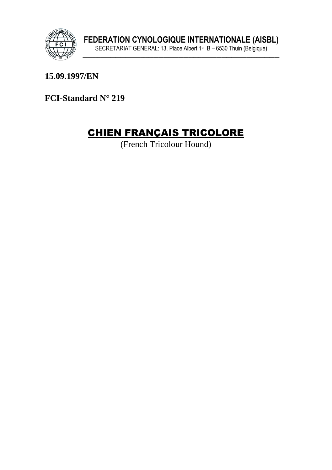

15.09.1997/EN

FCI-Standard N° 219

# **CHIEN FRANÇAIS TRICOLORE**

(French Tricolour Hound)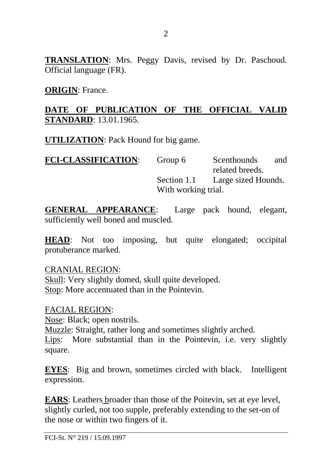**TRANSLATION**: Mrs. Peggy Davis, revised by Dr. Paschoud. Official language (FR).

**ORIGIN**: France.

## **DATE OF PUBLICATION OF THE OFFICIAL VALID STANDARD**: 13.01.1965.

**UTILIZATION**: Pack Hound for big game.

| Group 6             | Scenthounds         | and |
|---------------------|---------------------|-----|
|                     | related breeds.     |     |
| Section 1.1         | Large sized Hounds. |     |
| With working trial. |                     |     |
|                     |                     |     |

**GENERAL APPEARANCE**: Large pack hound, elegant, sufficiently well boned and muscled.

**HEAD**: Not too imposing, but quite elongated; occipital protuberance marked.

CRANIAL REGION: Skull: Very slightly domed, skull quite developed. Stop: More accentuated than in the Pointevin.

FACIAL REGION: Nose: Black; open nostrils. Muzzle: Straight, rather long and sometimes slightly arched. Lips: More substantial than in the Pointevin, i.e. very slightly square.

**EYES**: Big and brown, sometimes circled with black. Intelligent expression.

**EARS**: Leathers broader than those of the Poitevin, set at eye level, slightly curled, not too supple, preferably extending to the set-on of the nose or within two fingers of it.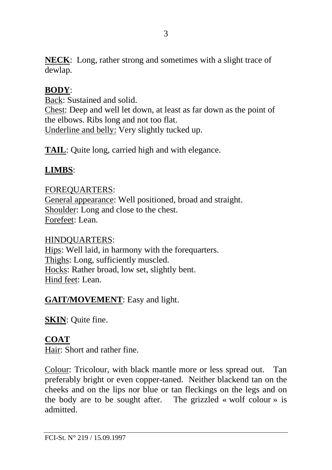**NECK:** Long, rather strong and sometimes with a slight trace of dewlap.

## **BODY**:

Back: Sustained and solid.

Chest: Deep and well let down, at least as far down as the point of the elbows. Ribs long and not too flat. Underline and belly: Very slightly tucked up.

**TAIL**: Quite long, carried high and with elegance.

# **LIMBS**:

FOREQUARTERS: General appearance: Well positioned, broad and straight. Shoulder: Long and close to the chest. Forefeet: Lean.

#### HINDQUARTERS:

Hips: Well laid, in harmony with the forequarters. Thighs: Long, sufficiently muscled. Hocks: Rather broad, low set, slightly bent. Hind feet: Lean.

## **GAIT/MOVEMENT**: Easy and light.

**SKIN**: Quite fine.

# **COAT**

Hair: Short and rather fine.

Colour: Tricolour, with black mantle more or less spread out. Tan preferably bright or even copper-taned. Neither blackend tan on the cheeks and on the lips nor blue or tan fleckings on the legs and on the body are to be sought after. The grizzled « wolf colour » is admitted.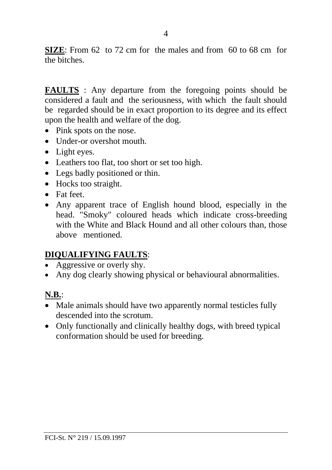**SIZE:** From 62 to 72 cm for the males and from 60 to 68 cm for the bitches.

**FAULTS** : Any departure from the foregoing points should be considered a fault and the seriousness, with which the fault should be regarded should be in exact proportion to its degree and its effect upon the health and welfare of the dog.

- Pink spots on the nose.
- Under-or overshot mouth
- Light eyes.
- Leathers too flat, too short or set too high.
- Legs badly positioned or thin.
- Hocks too straight.
- Fat feet
- Any apparent trace of English hound blood, especially in the head. "Smoky" coloured heads which indicate cross-breeding with the White and Black Hound and all other colours than, those above mentioned.

#### **DIQUALIFYING FAULTS**:

- Aggressive or overly shy.
- Any dog clearly showing physical or behavioural abnormalities.

# **N.B.**:

- Male animals should have two apparently normal testicles fully descended into the scrotum.
- Only functionally and clinically healthy dogs, with breed typical conformation should be used for breeding.